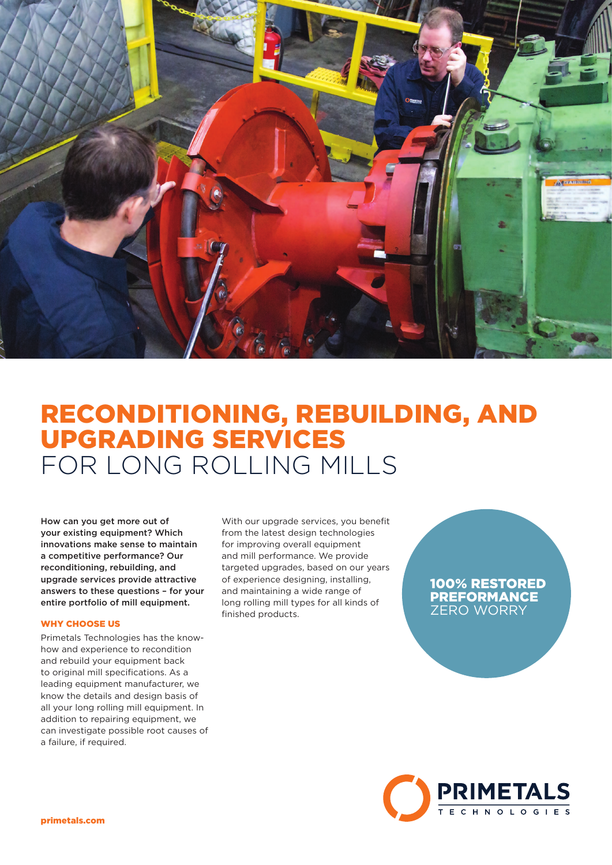

# RECONDITIONING, REBUILDING, AND UPGRADING SERVICES FOR LONG ROLLING MILLS

How can you get more out of your existing equipment? Which innovations make sense to maintain a competitive performance? Our reconditioning, rebuilding, and upgrade services provide attractive answers to these questions – for your entire portfolio of mill equipment.

### WHY CHOOSE US

Primetals Technologies has the knowhow and experience to recondition and rebuild your equipment back to original mill specifications. As a leading equipment manufacturer, we know the details and design basis of all your long rolling mill equipment. In addition to repairing equipment, we can investigate possible root causes of a failure, if required.

With our upgrade services, you benefit from the latest design technologies for improving overall equipment and mill performance. We provide targeted upgrades, based on our years of experience designing, installing, and maintaining a wide range of long rolling mill types for all kinds of finished products.

## 100% RESTORED PREFORMANCE ZERO WORRY